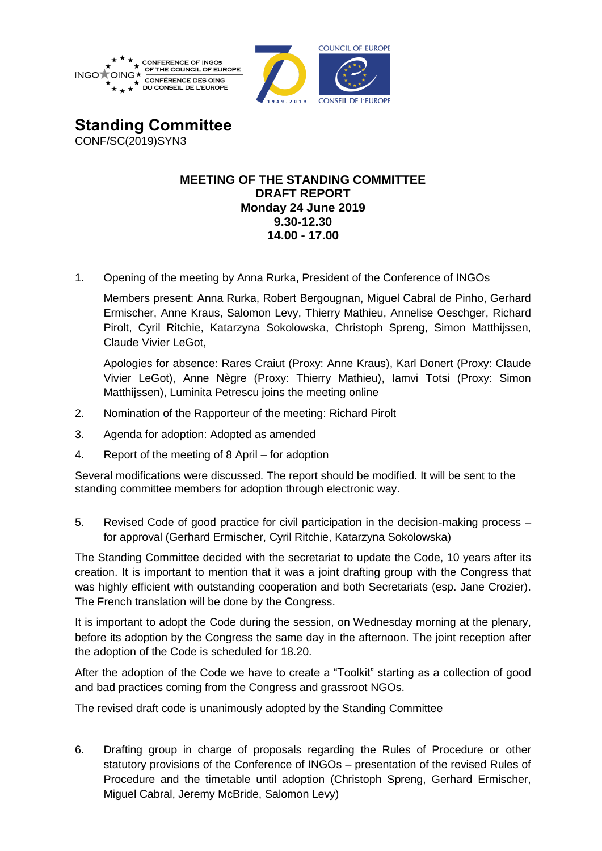



**Standing Committee** CONF/SC(2019)SYN3

## **MEETING OF THE STANDING COMMITTEE DRAFT REPORT Monday 24 June 2019 9.30-12.30 14.00 - 17.00**

1. Opening of the meeting by Anna Rurka, President of the Conference of INGOs

Members present: Anna Rurka, Robert Bergougnan, Miguel Cabral de Pinho, Gerhard Ermischer, Anne Kraus, Salomon Levy, Thierry Mathieu, Annelise Oeschger, Richard Pirolt, Cyril Ritchie, Katarzyna Sokolowska, Christoph Spreng, Simon Matthijssen, Claude Vivier LeGot,

Apologies for absence: Rares Craiut (Proxy: Anne Kraus), Karl Donert (Proxy: Claude Vivier LeGot), Anne Nègre (Proxy: Thierry Mathieu), Iamvi Totsi (Proxy: Simon Matthijssen), Luminita Petrescu joins the meeting online

- 2. Nomination of the Rapporteur of the meeting: Richard Pirolt
- 3. Agenda for adoption: Adopted as amended
- 4. Report of the meeting of 8 April for adoption

Several modifications were discussed. The report should be modified. It will be sent to the standing committee members for adoption through electronic way.

5. Revised Code of good practice for civil participation in the decision-making process – for approval (Gerhard Ermischer, Cyril Ritchie, Katarzyna Sokolowska)

The Standing Committee decided with the secretariat to update the Code, 10 years after its creation. It is important to mention that it was a joint drafting group with the Congress that was highly efficient with outstanding cooperation and both Secretariats (esp. Jane Crozier). The French translation will be done by the Congress.

It is important to adopt the Code during the session, on Wednesday morning at the plenary, before its adoption by the Congress the same day in the afternoon. The joint reception after the adoption of the Code is scheduled for 18.20.

After the adoption of the Code we have to create a "Toolkit" starting as a collection of good and bad practices coming from the Congress and grassroot NGOs.

The revised draft code is unanimously adopted by the Standing Committee

6. Drafting group in charge of proposals regarding the Rules of Procedure or other statutory provisions of the Conference of INGOs – presentation of the revised Rules of Procedure and the timetable until adoption (Christoph Spreng, Gerhard Ermischer, Miguel Cabral, Jeremy McBride, Salomon Levy)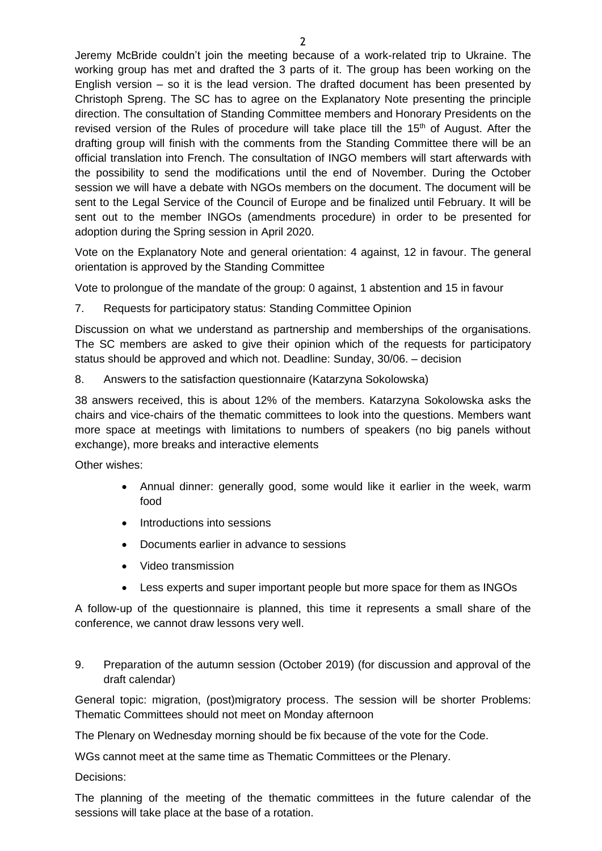Jeremy McBride couldn't join the meeting because of a work-related trip to Ukraine. The working group has met and drafted the 3 parts of it. The group has been working on the English version – so it is the lead version. The drafted document has been presented by Christoph Spreng. The SC has to agree on the Explanatory Note presenting the principle direction. The consultation of Standing Committee members and Honorary Presidents on the revised version of the Rules of procedure will take place till the  $15<sup>th</sup>$  of August. After the drafting group will finish with the comments from the Standing Committee there will be an official translation into French. The consultation of INGO members will start afterwards with the possibility to send the modifications until the end of November. During the October session we will have a debate with NGOs members on the document. The document will be sent to the Legal Service of the Council of Europe and be finalized until February. It will be sent out to the member INGOs (amendments procedure) in order to be presented for adoption during the Spring session in April 2020.

Vote on the Explanatory Note and general orientation: 4 against, 12 in favour. The general orientation is approved by the Standing Committee

Vote to prolongue of the mandate of the group: 0 against, 1 abstention and 15 in favour

7. Requests for participatory status: Standing Committee Opinion

Discussion on what we understand as partnership and memberships of the organisations. The SC members are asked to give their opinion which of the requests for participatory status should be approved and which not. Deadline: Sunday, 30/06. – decision

8. Answers to the satisfaction questionnaire (Katarzyna Sokolowska)

38 answers received, this is about 12% of the members. Katarzyna Sokolowska asks the chairs and vice-chairs of the thematic committees to look into the questions. Members want more space at meetings with limitations to numbers of speakers (no big panels without exchange), more breaks and interactive elements

Other wishes:

- Annual dinner: generally good, some would like it earlier in the week, warm food
- Introductions into sessions
- Documents earlier in advance to sessions
- Video transmission
- Less experts and super important people but more space for them as INGOs

A follow-up of the questionnaire is planned, this time it represents a small share of the conference, we cannot draw lessons very well.

9. Preparation of the autumn session (October 2019) (for discussion and approval of the draft calendar)

General topic: migration, (post)migratory process. The session will be shorter Problems: Thematic Committees should not meet on Monday afternoon

The Plenary on Wednesday morning should be fix because of the vote for the Code.

WGs cannot meet at the same time as Thematic Committees or the Plenary.

Decisions:

The planning of the meeting of the thematic committees in the future calendar of the sessions will take place at the base of a rotation.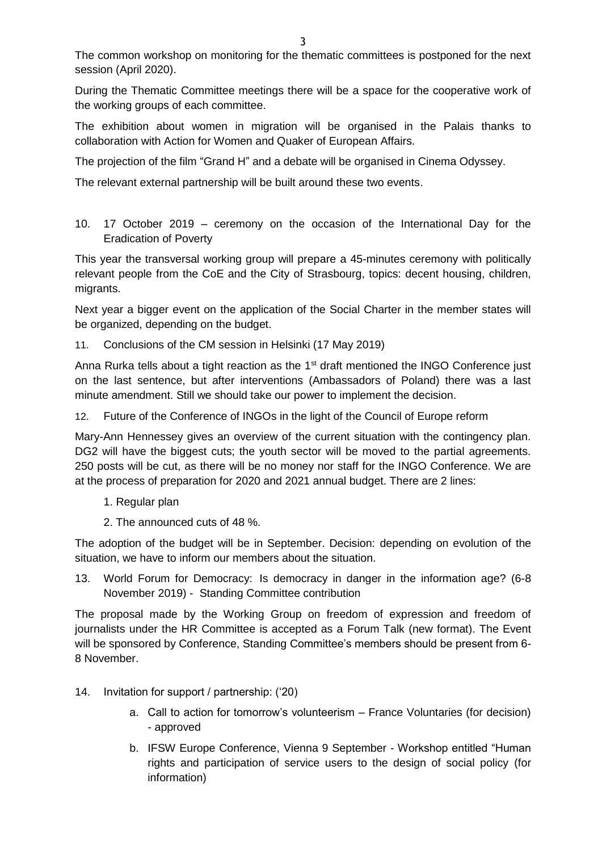The common workshop on monitoring for the thematic committees is postponed for the next session (April 2020).

During the Thematic Committee meetings there will be a space for the cooperative work of the working groups of each committee.

The exhibition about women in migration will be organised in the Palais thanks to collaboration with Action for Women and Quaker of European Affairs.

The projection of the film "Grand H" and a debate will be organised in Cinema Odyssey.

The relevant external partnership will be built around these two events.

10. 17 October 2019 – ceremony on the occasion of the International Day for the Eradication of Poverty

This year the transversal working group will prepare a 45-minutes ceremony with politically relevant people from the CoE and the City of Strasbourg, topics: decent housing, children, migrants.

Next year a bigger event on the application of the Social Charter in the member states will be organized, depending on the budget.

11. Conclusions of the CM session in Helsinki (17 May 2019)

Anna Rurka tells about a tight reaction as the  $1<sup>st</sup>$  draft mentioned the INGO Conference just on the last sentence, but after interventions (Ambassadors of Poland) there was a last minute amendment. Still we should take our power to implement the decision.

12. Future of the Conference of INGOs in the light of the Council of Europe reform

Mary-Ann Hennessey gives an overview of the current situation with the contingency plan. DG2 will have the biggest cuts; the youth sector will be moved to the partial agreements. 250 posts will be cut, as there will be no money nor staff for the INGO Conference. We are at the process of preparation for 2020 and 2021 annual budget. There are 2 lines:

- 1. Regular plan
- 2. The announced cuts of 48 %.

The adoption of the budget will be in September. Decision: depending on evolution of the situation, we have to inform our members about the situation.

13. World Forum for Democracy: Is democracy in danger in the information age? (6-8 November 2019) - Standing Committee contribution

The proposal made by the Working Group on freedom of expression and freedom of journalists under the HR Committee is accepted as a Forum Talk (new format). The Event will be sponsored by Conference, Standing Committee's members should be present from 6- 8 November.

- 14. Invitation for support / partnership: ('20)
	- a. Call to action for tomorrow's volunteerism France Voluntaries (for decision) - approved
	- b. IFSW Europe Conference, Vienna 9 September Workshop entitled "Human rights and participation of service users to the design of social policy (for information)